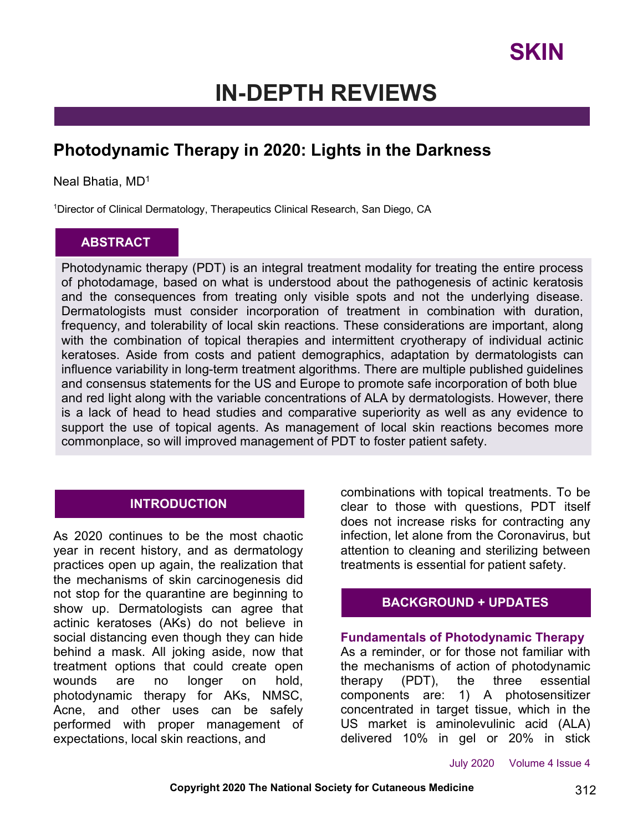## **IN-DEPTH REVIEWS**

## **Photodynamic Therapy in 2020: Lights in the Darkness**

### Neal Bhatia, MD<sup>1</sup>

<sup>1</sup>Director of Clinical Dermatology, Therapeutics Clinical Research, San Diego, CA

## **ABSTRACT**

Photodynamic therapy (PDT) is an integral treatment modality for treating the entire process of photodamage, based on what is understood about the pathogenesis of actinic keratosis and the consequences from treating only visible spots and not the underlying disease. Dermatologists must consider incorporation of treatment in combination with duration, frequency, and tolerability of local skin reactions. These considerations are important, along with the combination of topical therapies and intermittent cryotherapy of individual actinic keratoses. Aside from costs and patient demographics, adaptation by dermatologists can influence variability in long-term treatment algorithms. There are multiple published guidelines and consensus statements for the US and Europe to promote safe incorporation of both blue and red light along with the variable concentrations of ALA by dermatologists. However, there is a lack of head to head studies and comparative superiority as well as any evidence to support the use of topical agents. As management of local skin reactions becomes more commonplace, so will improved management of PDT to foster patient safety.

## **INTRODUCTION**

As 2020 continues to be the most chaotic year in recent history, and as dermatology practices open up again, the realization that the mechanisms of skin carcinogenesis did not stop for the quarantine are beginning to show up. Dermatologists can agree that actinic keratoses (AKs) do not believe in social distancing even though they can hide behind a mask. All joking aside, now that treatment options that could create open wounds are no longer on hold, photodynamic therapy for AKs, NMSC, Acne, and other uses can be safely performed with proper management of expectations, local skin reactions, and

combinations with topical treatments. To be clear to those with questions, PDT itself does not increase risks for contracting any infection, let alone from the Coronavirus, but attention to cleaning and sterilizing between treatments is essential for patient safety.

### **BACKGROUND + UPDATES**

#### **Fundamentals of Photodynamic Therapy**

As a reminder, or for those not familiar with the mechanisms of action of photodynamic therapy (PDT), the three essential components are: 1) A photosensitizer concentrated in target tissue, which in the US market is aminolevulinic acid (ALA) delivered 10% in gel or 20% in stick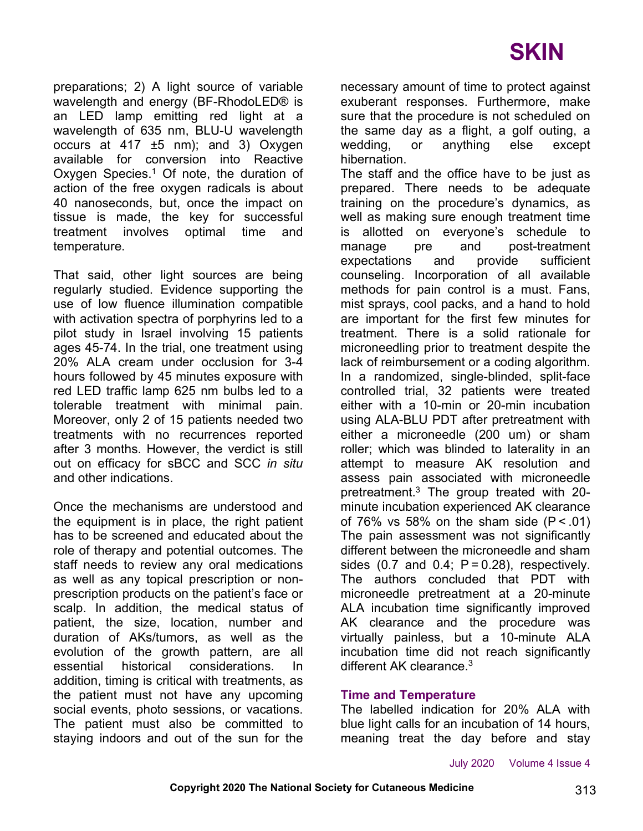preparations; 2) A light source of variable wavelength and energy (BF-RhodoLED® is an LED lamp emitting red light at a wavelength of 635 nm, BLU-U wavelength occurs at  $417 \pm 5$  nm); and 3) Oxygen available for conversion into Reactive Oxygen Species. $1$  Of note, the duration of action of the free oxygen radicals is about 40 nanoseconds, but, once the impact on tissue is made, the key for successful treatment involves optimal time and temperature.

That said, other light sources are being regularly studied. Evidence supporting the use of low fluence illumination compatible with activation spectra of porphyrins led to a pilot study in Israel involving 15 patients ages 45-74. In the trial, one treatment using 20% ALA cream under occlusion for 3-4 hours followed by 45 minutes exposure with red LED traffic lamp 625 nm bulbs led to a tolerable treatment with minimal pain. Moreover, only 2 of 15 patients needed two treatments with no recurrences reported after 3 months. However, the verdict is still out on efficacy for sBCC and SCC *in situ* and other indications.

Once the mechanisms are understood and the equipment is in place, the right patient has to be screened and educated about the role of therapy and potential outcomes. The staff needs to review any oral medications as well as any topical prescription or nonprescription products on the patient's face or scalp. In addition, the medical status of patient, the size, location, number and duration of AKs/tumors, as well as the evolution of the growth pattern, are all essential historical considerations. In addition, timing is critical with treatments, as the patient must not have any upcoming social events, photo sessions, or vacations. The patient must also be committed to staying indoors and out of the sun for the necessary amount of time to protect against exuberant responses. Furthermore, make sure that the procedure is not scheduled on the same day as a flight, a golf outing, a wedding, or anything else except hibernation.

The staff and the office have to be just as prepared. There needs to be adequate training on the procedure's dynamics, as well as making sure enough treatment time is allotted on everyone's schedule to manage pre and post-treatment expectations and provide sufficient counseling. Incorporation of all available methods for pain control is a must. Fans, mist sprays, cool packs, and a hand to hold are important for the first few minutes for treatment. There is a solid rationale for microneedling prior to treatment despite the lack of reimbursement or a coding algorithm. In a randomized, single-blinded, split-face controlled trial, 32 patients were treated either with a 10-min or 20-min incubation using ALA-BLU PDT after pretreatment with either a microneedle (200 um) or sham roller; which was blinded to laterality in an attempt to measure AK resolution and assess pain associated with microneedle pretreatment.3 The group treated with 20 minute incubation experienced AK clearance of 76% vs 58% on the sham side  $(P < .01)$ The pain assessment was not significantly different between the microneedle and sham sides  $(0.7 \text{ and } 0.4; \text{ P} = 0.28)$ , respectively. The authors concluded that PDT with microneedle pretreatment at a 20-minute ALA incubation time significantly improved AK clearance and the procedure was virtually painless, but a 10-minute ALA incubation time did not reach significantly different AK clearance.<sup>3</sup>

### **Time and Temperature**

The labelled indication for 20% ALA with blue light calls for an incubation of 14 hours, meaning treat the day before and stay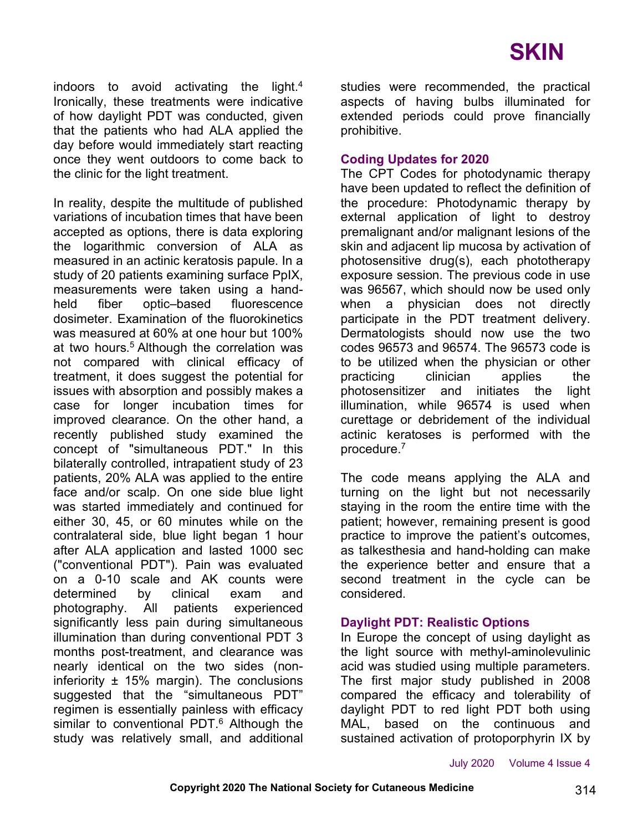indoors to avoid activating the light.4 Ironically, these treatments were indicative of how daylight PDT was conducted, given that the patients who had ALA applied the day before would immediately start reacting once they went outdoors to come back to the clinic for the light treatment.

In reality, despite the multitude of published variations of incubation times that have been accepted as options, there is data exploring the logarithmic conversion of ALA as measured in an actinic keratosis papule. In a study of 20 patients examining surface PpIX, measurements were taken using a handheld fiber optic–based fluorescence dosimeter. Examination of the fluorokinetics was measured at 60% at one hour but 100% at two hours.<sup>5</sup> Although the correlation was not compared with clinical efficacy of treatment, it does suggest the potential for issues with absorption and possibly makes a case for longer incubation times for improved clearance. On the other hand, a recently published study examined the concept of "simultaneous PDT." In this bilaterally controlled, intrapatient study of 23 patients, 20% ALA was applied to the entire face and/or scalp. On one side blue light was started immediately and continued for either 30, 45, or 60 minutes while on the contralateral side, blue light began 1 hour after ALA application and lasted 1000 sec ("conventional PDT"). Pain was evaluated on a 0-10 scale and AK counts were determined by clinical exam and photography. All patients experienced significantly less pain during simultaneous illumination than during conventional PDT 3 months post-treatment, and clearance was nearly identical on the two sides (noninferiority  $\pm$  15% margin). The conclusions suggested that the "simultaneous PDT" regimen is essentially painless with efficacy similar to conventional PDT.<sup>6</sup> Although the study was relatively small, and additional studies were recommended, the practical aspects of having bulbs illuminated for extended periods could prove financially prohibitive.

### **Coding Updates for 2020**

The CPT Codes for photodynamic therapy have been updated to reflect the definition of the procedure: Photodynamic therapy by external application of light to destroy premalignant and/or malignant lesions of the skin and adjacent lip mucosa by activation of photosensitive drug(s), each phototherapy exposure session. The previous code in use was 96567, which should now be used only when a physician does not directly participate in the PDT treatment delivery. Dermatologists should now use the two codes 96573 and 96574. The 96573 code is to be utilized when the physician or other practicing clinician applies the photosensitizer and initiates the light illumination, while 96574 is used when curettage or debridement of the individual actinic keratoses is performed with the procedure.7

The code means applying the ALA and turning on the light but not necessarily staying in the room the entire time with the patient; however, remaining present is good practice to improve the patient's outcomes, as talkesthesia and hand-holding can make the experience better and ensure that a second treatment in the cycle can be considered.

### **Daylight PDT: Realistic Options**

In Europe the concept of using daylight as the light source with methyl-aminolevulinic acid was studied using multiple parameters. The first major study published in 2008 compared the efficacy and tolerability of daylight PDT to red light PDT both using MAL, based on the continuous and sustained activation of protoporphyrin IX by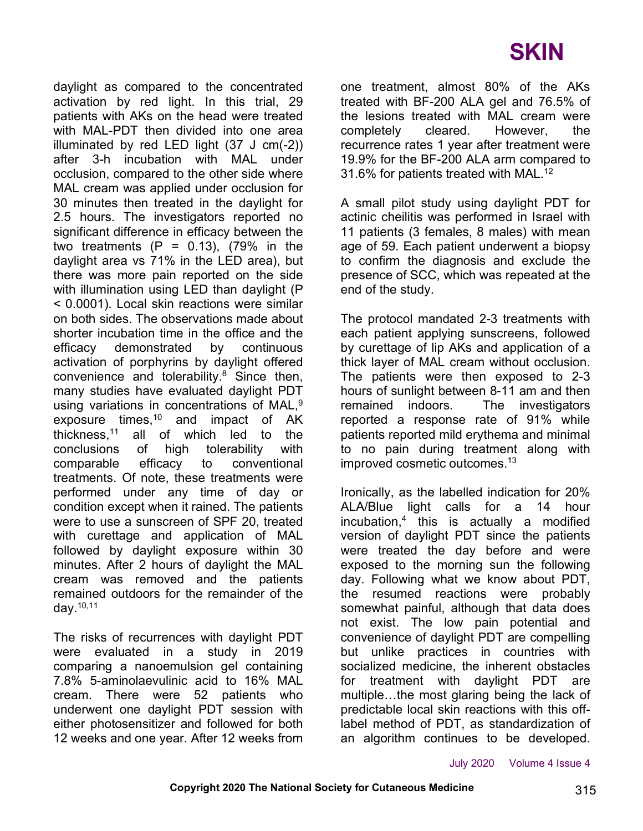## **SKIN**

daylight as compared to the concentrated activation by red light. In this trial, 29 patients with AKs on the head were treated with MAL-PDT then divided into one area illuminated by red LED light (37 J cm(-2)) after 3-h incubation with MAL under occlusion, compared to the other side where MAL cream was applied under occlusion for 30 minutes then treated in the daylight for 2.5 hours. The investigators reported no significant difference in efficacy between the two treatments  $(P = 0.13)$ , (79% in the daylight area vs 71% in the LED area), but there was more pain reported on the side with illumination using LED than daylight (P < 0.0001). Local skin reactions were similar on both sides. The observations made about shorter incubation time in the office and the efficacy demonstrated by continuous activation of porphyrins by daylight offered convenience and tolerability. $8$  Since then, many studies have evaluated daylight PDT using variations in concentrations of MAL.<sup>9</sup> exposure times,<sup>10</sup> and impact of AK thickness,11 all of which led to the conclusions of high tolerability with comparable efficacy to conventional treatments. Of note, these treatments were performed under any time of day or condition except when it rained. The patients were to use a sunscreen of SPF 20, treated with curettage and application of MAL followed by daylight exposure within 30 minutes. After 2 hours of daylight the MAL cream was removed and the patients remained outdoors for the remainder of the day. $10,11$ 

The risks of recurrences with daylight PDT were evaluated in a study in 2019 comparing a nanoemulsion gel containing 7.8% 5-aminolaevulinic acid to 16% MAL cream. There were 52 patients who underwent one daylight PDT session with either photosensitizer and followed for both 12 weeks and one year. After 12 weeks from one treatment, almost 80% of the AKs treated with BF-200 ALA gel and 76.5% of the lesions treated with MAL cream were completely cleared. However, the recurrence rates 1 year after treatment were 19.9% for the BF-200 ALA arm compared to 31.6% for patients treated with MAL.12

A small pilot study using daylight PDT for actinic cheilitis was performed in Israel with 11 patients (3 females, 8 males) with mean age of 59. Each patient underwent a biopsy to confirm the diagnosis and exclude the presence of SCC, which was repeated at the end of the study.

The protocol mandated 2-3 treatments with each patient applying sunscreens, followed by curettage of lip AKs and application of a thick layer of MAL cream without occlusion. The patients were then exposed to 2-3 hours of sunlight between 8-11 am and then remained indoors. The investigators reported a response rate of 91% while patients reported mild erythema and minimal to no pain during treatment along with improved cosmetic outcomes.<sup>13</sup>

Ironically, as the labelled indication for 20% ALA/Blue light calls for a 14 hour incubation,4 this is actually a modified version of daylight PDT since the patients were treated the day before and were exposed to the morning sun the following day. Following what we know about PDT, the resumed reactions were probably somewhat painful, although that data does not exist. The low pain potential and convenience of daylight PDT are compelling but unlike practices in countries with socialized medicine, the inherent obstacles for treatment with daylight PDT are multiple…the most glaring being the lack of predictable local skin reactions with this offlabel method of PDT, as standardization of an algorithm continues to be developed.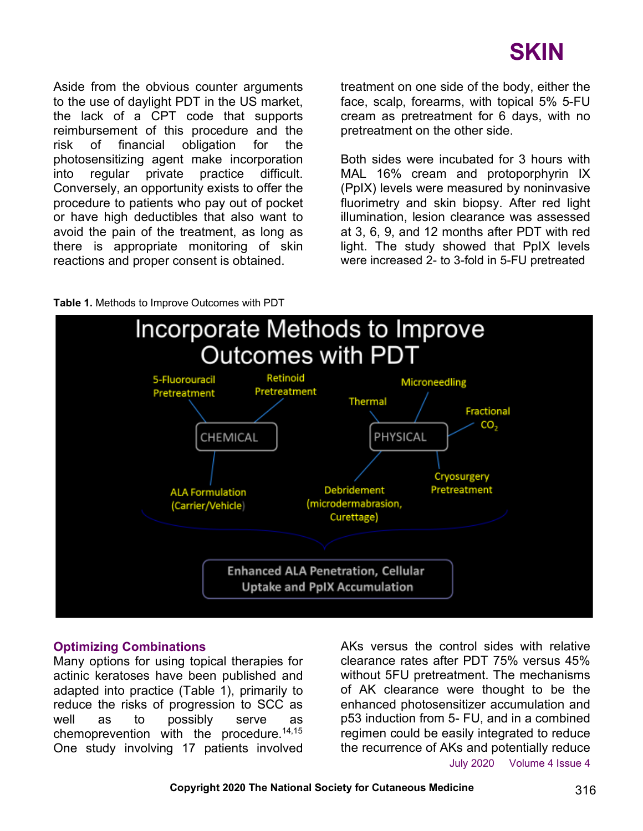

Aside from the obvious counter arguments to the use of daylight PDT in the US market, the lack of a CPT code that supports reimbursement of this procedure and the risk of financial obligation for the photosensitizing agent make incorporation into regular private practice difficult. Conversely, an opportunity exists to offer the procedure to patients who pay out of pocket or have high deductibles that also want to avoid the pain of the treatment, as long as there is appropriate monitoring of skin reactions and proper consent is obtained.

treatment on one side of the body, either the face, scalp, forearms, with topical 5% 5-FU cream as pretreatment for 6 days, with no pretreatment on the other side.

Both sides were incubated for 3 hours with MAL 16% cream and protoporphyrin IX (PpIX) levels were measured by noninvasive fluorimetry and skin biopsy. After red light illumination, lesion clearance was assessed at 3, 6, 9, and 12 months after PDT with red light. The study showed that PpIX levels were increased 2- to 3-fold in 5-FU pretreated





#### **Optimizing Combinations**

Many options for using topical therapies for actinic keratoses have been published and adapted into practice (Table 1), primarily to reduce the risks of progression to SCC as well as to possibly serve as chemoprevention with the procedure.<sup>14,15</sup> One study involving 17 patients involved

July 2020 Volume 4 Issue 4 AKs versus the control sides with relative clearance rates after PDT 75% versus 45% without 5FU pretreatment. The mechanisms of AK clearance were thought to be the enhanced photosensitizer accumulation and p53 induction from 5- FU, and in a combined regimen could be easily integrated to reduce the recurrence of AKs and potentially reduce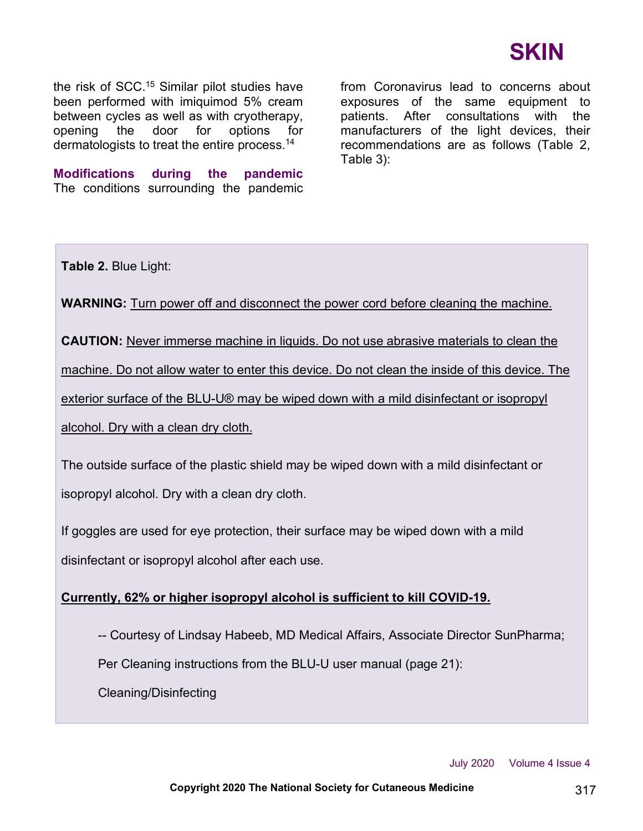

the risk of SCC.15 Similar pilot studies have been performed with imiquimod 5% cream between cycles as well as with cryotherapy, opening the door for options for dermatologists to treat the entire process.14

**Modifications during the pandemic** The conditions surrounding the pandemic from Coronavirus lead to concerns about exposures of the same equipment to patients. After consultations with the manufacturers of the light devices, their recommendations are as follows (Table 2, Table 3):

**Table 2.** Blue Light:

**WARNING:** Turn power off and disconnect the power cord before cleaning the machine.

**CAUTION:** Never immerse machine in liquids. Do not use abrasive materials to clean the

machine. Do not allow water to enter this device. Do not clean the inside of this device. The

exterior surface of the BLU-U® may be wiped down with a mild disinfectant or isopropyl

alcohol. Dry with a clean dry cloth.

The outside surface of the plastic shield may be wiped down with a mild disinfectant or isopropyl alcohol. Dry with a clean dry cloth.

If goggles are used for eye protection, their surface may be wiped down with a mild disinfectant or isopropyl alcohol after each use.

### **Currently, 62% or higher isopropyl alcohol is sufficient to kill COVID-19.**

-- Courtesy of Lindsay Habeeb, MD Medical Affairs, Associate Director SunPharma;

Per Cleaning instructions from the BLU-U user manual (page 21):

Cleaning/Disinfecting

July 2020 Volume 4 Issue 4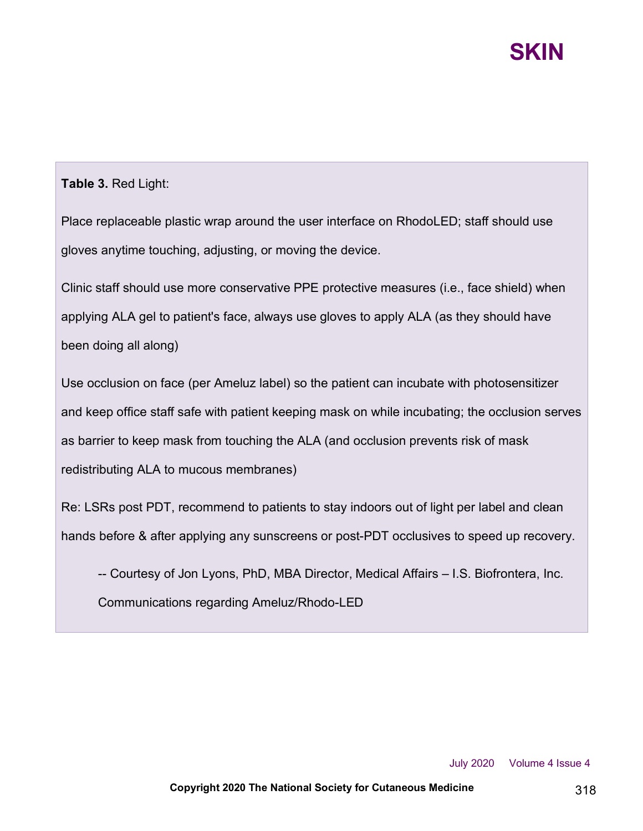# **SKIN**

## **Table 3.** Red Light:

Place replaceable plastic wrap around the user interface on RhodoLED; staff should use gloves anytime touching, adjusting, or moving the device.

Clinic staff should use more conservative PPE protective measures (i.e., face shield) when applying ALA gel to patient's face, always use gloves to apply ALA (as they should have been doing all along)

Use occlusion on face (per Ameluz label) so the patient can incubate with photosensitizer and keep office staff safe with patient keeping mask on while incubating; the occlusion serves as barrier to keep mask from touching the ALA (and occlusion prevents risk of mask redistributing ALA to mucous membranes)

Re: LSRs post PDT, recommend to patients to stay indoors out of light per label and clean hands before & after applying any sunscreens or post-PDT occlusives to speed up recovery.

-- Courtesy of Jon Lyons, PhD, MBA Director, Medical Affairs – I.S. Biofrontera, Inc. Communications regarding Ameluz/Rhodo-LED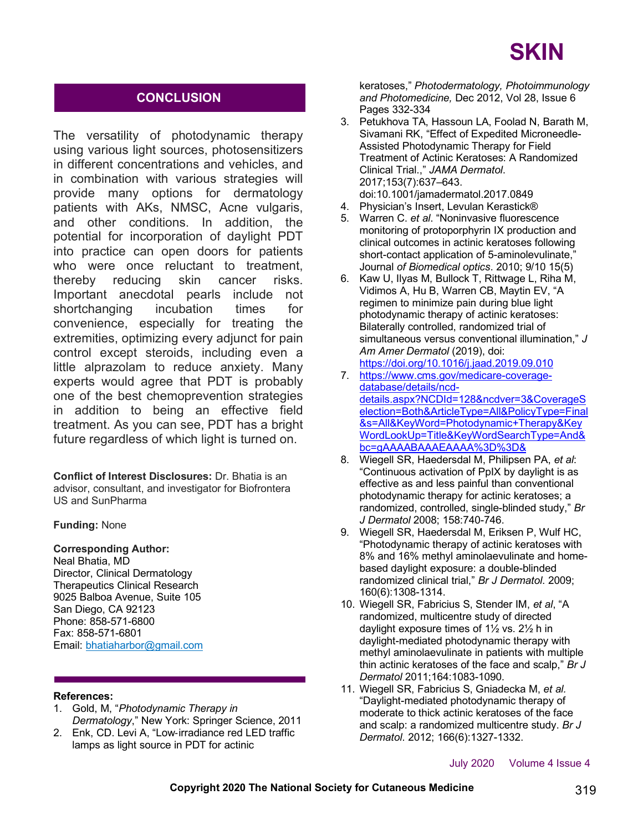### **CONCLUSION**

The versatility of photodynamic therapy using various light sources, photosensitizers in different concentrations and vehicles, and in combination with various strategies will provide many options for dermatology patients with AKs, NMSC, Acne vulgaris, and other conditions. In addition, the potential for incorporation of daylight PDT into practice can open doors for patients who were once reluctant to treatment, thereby reducing skin cancer risks. Important anecdotal pearls include not shortchanging incubation times for convenience, especially for treating the extremities, optimizing every adjunct for pain control except steroids, including even a little alprazolam to reduce anxiety. Many experts would agree that PDT is probably one of the best chemoprevention strategies in addition to being an effective field treatment. As you can see, PDT has a bright future regardless of which light is turned on.

**Conflict of Interest Disclosures:** Dr. Bhatia is an advisor, consultant, and investigator for Biofrontera US and SunPharma

#### **Funding:** None

**Corresponding Author:**

Neal Bhatia, MD Director, Clinical Dermatology Therapeutics Clinical Research 9025 Balboa Avenue, Suite 105 San Diego, CA 92123 Phone: 858-571-6800 Fax: 858-571-6801 Email: bhatiaharbor@gmail.com

#### **References:**

- 1. Gold, M, "*Photodynamic Therapy in Dermatology*," New York: Springer Science, 2011
- 2. Enk, CD. Levi A, "Low-irradiance red LED traffic lamps as light source in PDT for actinic

keratoses," *Photodermatology, Photoimmunology and Photomedicine,* Dec 2012, Vol 28, Issue 6 Pages 332-334

- 3. Petukhova TA, Hassoun LA, Foolad N, Barath M, Sivamani RK, "Effect of Expedited Microneedle-Assisted Photodynamic Therapy for Field Treatment of Actinic Keratoses: A Randomized Clinical Trial.," *JAMA Dermatol*. 2017;153(7):637–643. doi:10.1001/jamadermatol.2017.0849
- 4. Physician's Insert, Levulan Kerastick®
- 5. Warren C. *et al*. "Noninvasive fluorescence monitoring of protoporphyrin IX production and clinical outcomes in actinic keratoses following short-contact application of 5-aminolevulinate,' Journal *of Biomedical optics*. 2010; 9/10 15(5)
- 6. Kaw U, Ilyas M, Bullock T, Rittwage L, Riha M, Vidimos A, Hu B, Warren CB, Maytin EV, "A regimen to minimize pain during blue light photodynamic therapy of actinic keratoses: Bilaterally controlled, randomized trial of simultaneous versus conventional illumination," *J Am Amer Dermatol* (2019), doi: https://doi.org/10.1016/j.jaad.2019.09.010
- 7. https://www.cms.gov/medicare-coveragedatabase/details/ncddetails.aspx?NCDId=128&ncdver=3&CoverageS election=Both&ArticleType=All&PolicyType=Final &s=All&KeyWord=Photodynamic+Therapy&Key WordLookUp=Title&KeyWordSearchType=And& bc=gAAAABAAAEAAAA%3D%3D&
- 8. Wiegell SR, Haedersdal M, Philipsen PA, *et al*: "Continuous activation of PpIX by daylight is as effective as and less painful than conventional photodynamic therapy for actinic keratoses; a randomized, controlled, single-blinded study," *Br J Dermatol* 2008; 158:740-746.
- 9. Wiegell SR, Haedersdal M, Eriksen P, Wulf HC, "Photodynamic therapy of actinic keratoses with 8% and 16% methyl aminolaevulinate and homebased daylight exposure: a double-blinded randomized clinical trial," *Br J Dermatol*. 2009; 160(6):1308-1314.
- 10. Wiegell SR, Fabricius S, Stender IM, *et al*, "A randomized, multicentre study of directed daylight exposure times of 1½ vs. 2½ h in daylight-mediated photodynamic therapy with methyl aminolaevulinate in patients with multiple thin actinic keratoses of the face and scalp," *Br J Dermatol* 2011;164:1083-1090.
- 11. Wiegell SR, Fabricius S, Gniadecka M, *et al.* "Daylight-mediated photodynamic therapy of moderate to thick actinic keratoses of the face and scalp: a randomized multicentre study. *Br J Dermatol*. 2012; 166(6):1327-1332.

July 2020 Volume 4 Issue 4